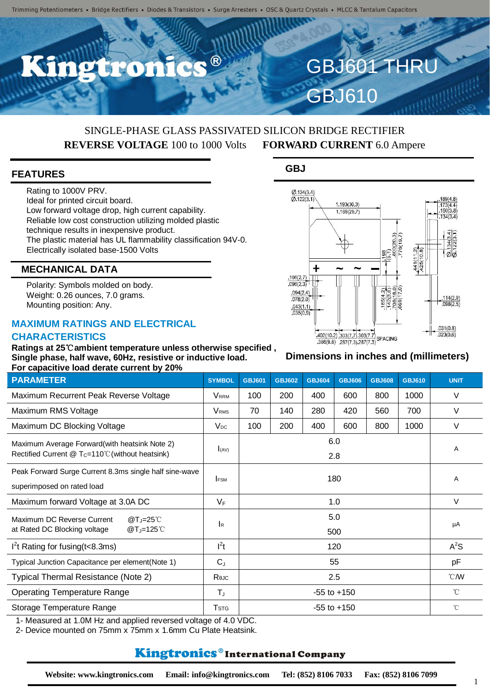R

# SINGLE-PHASE GLASS PASSIVATED SILICON BRIDGE RECTIFIER **REVERSE VOLTAGE** 100 to 1000 Volts **FORWARD CURRENT** 6.0 Ampere

#### **FEATURES**

Rating to 1000V PRV. Ideal for printed circuit board. Low forward voltage drop, high current capability. Reliable low cost construction utilizing molded plastic technique results in inexpensive product. The plastic material has UL flammability classification 94V-0. Electrically isolated base-1500 Volts

### **MECHANICAL DATA**

Polarity: Symbols molded on body. Weight: 0.26 ounces, 7.0 grams. Mounting position: Any.

### **MAXIMUM RATINGS AND ELECTRICAL CHARACTERISTICS**

**Ratings at 25**℃**ambient temperature unless otherwise specified , Single phase, half wave, 60Hz, resistive or inductive load. For capacitive load derate current by 20%**

| <b>PARAMETER</b>                                                                                           | <b>SYMBOL</b>             | <b>GBJ601</b>   | <b>GBJ602</b> | <b>GBJ604</b> | <b>GBJ606</b> | <b>GBJ608</b> | <b>GBJ610</b> | <b>UNIT</b>      |
|------------------------------------------------------------------------------------------------------------|---------------------------|-----------------|---------------|---------------|---------------|---------------|---------------|------------------|
| Maximum Recurrent Peak Reverse Voltage                                                                     | <b>VRRM</b>               | 100             | 200           | 400           | 600           | 800           | 1000          | V                |
| Maximum RMS Voltage                                                                                        | <b>V</b> <sub>RMS</sub>   | 70              | 140           | 280           | 420           | 560           | 700           | V                |
| Maximum DC Blocking Voltage                                                                                | $V_{DC}$                  | 100             | 200           | 400           | 600           | 800           | 1000          | $\vee$           |
| Maximum Average Forward(with heatsink Note 2)<br>Rectified Current $@T_c=110^{\circ}$ C (without heatsink) | $I_{(AV)}$                | 6.0<br>2.8      |               |               |               |               |               | A                |
| Peak Forward Surge Current 8.3ms single half sine-wave<br>superimposed on rated load                       | <b>FSM</b>                | 180             |               |               |               |               |               | Α                |
| Maximum forward Voltage at 3.0A DC                                                                         | $V_F$                     | 1.0             |               |               |               |               |               | V                |
| Maximum DC Reverse Current<br>$@T_J=25^{\circ}$ C<br>at Rated DC Blocking voltage<br>$@T_J=125^{\circ}$    | $\mathsf{I}_{\mathsf{R}}$ | 5.0<br>500      |               |               |               |               |               | μA               |
| $I2t$ Rating for fusing (t < 8.3ms)                                                                        | $I^2t$                    | 120             |               |               |               |               |               | $A^2S$           |
| Typical Junction Capacitance per element(Note 1)                                                           | $C_{J}$                   | 55              |               |               |               |               |               | pF               |
| Typical Thermal Resistance (Note 2)                                                                        | Reuc                      | 2.5             |               |               |               |               |               | $\mathcal{C}$ MV |
| <b>Operating Temperature Range</b>                                                                         | $T_{J}$                   | $-55$ to $+150$ |               |               |               |               |               | $^{\circ}$ C     |
| Storage Temperature Range                                                                                  | <b>T</b> <sub>STG</sub>   | $-55$ to $+150$ |               |               |               |               |               | $^{\circ}$ C     |

1- Measured at 1.0M Hz and applied reversed voltage of 4.0 VDC.

2- Device mounted on 75mm x 75mm x 1.6mm Cu Plate Heatsink.

# Kingtronics®International Company

**GBJ**



**GBJ601 THR** 

GBJ610

#### **Dimensions in inches and (millimeters)**

1